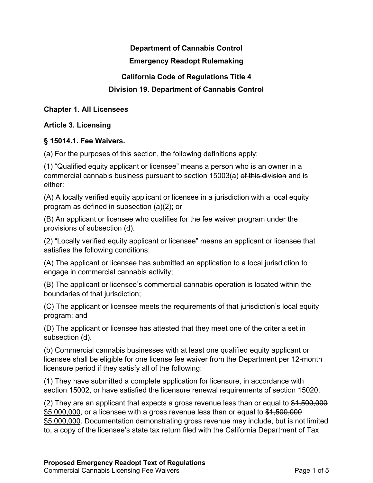# **Department of Cannabis Control**

### **Emergency Readopt Rulemaking**

## **California Code of Regulations Title 4**

# **Division 19. Department of Cannabis Control**

#### **Chapter 1. All Licensees**

## **Article 3. Licensing**

### **§ 15014.1. Fee Waivers.**

(a) For the purposes of this section, the following definitions apply:

(1) "Qualified equity applicant or licensee" means a person who is an owner in a commercial cannabis business pursuant to section 15003(a) of this division and is either:

(A) A locally verified equity applicant or licensee in a jurisdiction with a local equity program as defined in subsection (a)(2); or

(B) An applicant or licensee who qualifies for the fee waiver program under the provisions of subsection (d).

(2) "Locally verified equity applicant or licensee" means an applicant or licensee that satisfies the following conditions:

(A) The applicant or licensee has submitted an application to a local jurisdiction to engage in commercial cannabis activity;

(B) The applicant or licensee's commercial cannabis operation is located within the boundaries of that jurisdiction;

(C) The applicant or licensee meets the requirements of that jurisdiction's local equity program; and

(D) The applicant or licensee has attested that they meet one of the criteria set in subsection (d).

(b) Commercial cannabis businesses with at least one qualified equity applicant or licensee shall be eligible for one license fee waiver from the Department per 12-month licensure period if they satisfy all of the following:

(1) They have submitted a complete application for licensure, in accordance with section 15002, or have satisfied the licensure renewal requirements of section 15020.

 $(2)$  They are an applicant that expects a gross revenue less than or equal to  $$4,500,000$ \$5,000,000, or a licensee with a gross revenue less than or equal to \$1,500,000 \$5,000,000. Documentation demonstrating gross revenue may include, but is not limited to, a copy of the licensee's state tax return filed with the California Department of Tax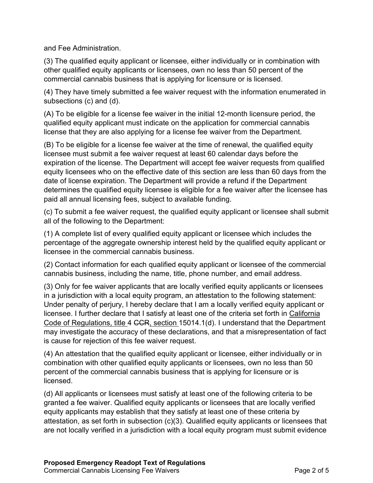and Fee Administration.

(3) The qualified equity applicant or licensee, either individually or in combination with other qualified equity applicants or licensees, own no less than 50 percent of the commercial cannabis business that is applying for licensure or is licensed.

(4) They have timely submitted a fee waiver request with the information enumerated in subsections (c) and (d).

(A) To be eligible for a license fee waiver in the initial 12-month licensure period, the qualified equity applicant must indicate on the application for commercial cannabis license that they are also applying for a license fee waiver from the Department.

(B) To be eligible for a license fee waiver at the time of renewal, the qualified equity licensee must submit a fee waiver request at least 60 calendar days before the expiration of the license. The Department will accept fee waiver requests from qualified equity licensees who on the effective date of this section are less than 60 days from the date of license expiration. The Department will provide a refund if the Department determines the qualified equity licensee is eligible for a fee waiver after the licensee has paid all annual licensing fees, subject to available funding.

(c) To submit a fee waiver request, the qualified equity applicant or licensee shall submit all of the following to the Department:

(1) A complete list of every qualified equity applicant or licensee which includes the percentage of the aggregate ownership interest held by the qualified equity applicant or licensee in the commercial cannabis business.

(2) Contact information for each qualified equity applicant or licensee of the commercial cannabis business, including the name, title, phone number, and email address.

(3) Only for fee waiver applicants that are locally verified equity applicants or licensees in a jurisdiction with a local equity program, an attestation to the following statement: Under penalty of perjury, I hereby declare that I am a locally verified equity applicant or licensee. I further declare that I satisfy at least one of the criteria set forth in California Code of Regulations, title 4 CCR, section 15014.1(d). I understand that the Department may investigate the accuracy of these declarations, and that a misrepresentation of fact is cause for rejection of this fee waiver request.

(4) An attestation that the qualified equity applicant or licensee, either individually or in combination with other qualified equity applicants or licensees, own no less than 50 percent of the commercial cannabis business that is applying for licensure or is licensed.

(d) All applicants or licensees must satisfy at least one of the following criteria to be granted a fee waiver. Qualified equity applicants or licensees that are locally verified equity applicants may establish that they satisfy at least one of these criteria by attestation, as set forth in subsection (c)(3). Qualified equity applicants or licensees that are not locally verified in a jurisdiction with a local equity program must submit evidence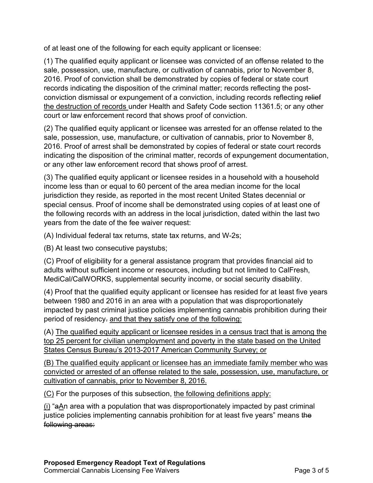of at least one of the following for each equity applicant or licensee:

(1) The qualified equity applicant or licensee was convicted of an offense related to the sale, possession, use, manufacture, or cultivation of cannabis, prior to November 8, 2016. Proof of conviction shall be demonstrated by copies of federal or state court records indicating the disposition of the criminal matter; records reflecting the postconviction dismissal or expungement of a conviction, including records reflecting relief the destruction of records under Health and Safety Code section 11361.5; or any other court or law enforcement record that shows proof of conviction.

(2) The qualified equity applicant or licensee was arrested for an offense related to the sale, possession, use, manufacture, or cultivation of cannabis, prior to November 8, 2016. Proof of arrest shall be demonstrated by copies of federal or state court records indicating the disposition of the criminal matter, records of expungement documentation, or any other law enforcement record that shows proof of arrest.

(3) The qualified equity applicant or licensee resides in a household with a household income less than or equal to 60 percent of the area median income for the local jurisdiction they reside, as reported in the most recent United States decennial or special census. Proof of income shall be demonstrated using copies of at least one of the following records with an address in the local jurisdiction, dated within the last two years from the date of the fee waiver request:

(A) Individual federal tax returns, state tax returns, and W-2s;

(B) At least two consecutive paystubs;

(C) Proof of eligibility for a general assistance program that provides financial aid to adults without sufficient income or resources, including but not limited to CalFresh, MediCal/CalWORKS, supplemental security income, or social security disability.

(4) Proof that the qualified equity applicant or licensee has resided for at least five years between 1980 and 2016 in an area with a population that was disproportionately impacted by past criminal justice policies implementing cannabis prohibition during their period of residency. and that they satisfy one of the following:

(A) The qualified equity applicant or licensee resides in a census tract that is among the top 25 percent for civilian unemployment and poverty in the state based on the United States Census Bureau's 2013-2017 American Community Survey; or

(B) The qualified equity applicant or licensee has an immediate family member who was convicted or arrested of an offense related to the sale, possession, use, manufacture, or cultivation of cannabis, prior to November 8, 2016.

(C) For the purposes of this subsection, the following definitions apply:

(i) "aAn area with a population that was disproportionately impacted by past criminal justice policies implementing cannabis prohibition for at least five years" means the following areas: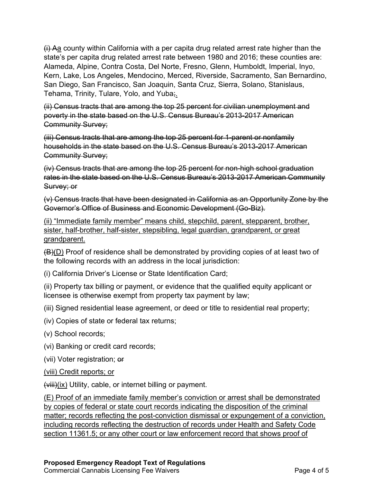(i) Aa county within California with a per capita drug related arrest rate higher than the state's per capita drug related arrest rate between 1980 and 2016; these counties are: Alameda, Alpine, Contra Costa, Del Norte, Fresno, Glenn, Humboldt, Imperial, Inyo, Kern, Lake, Los Angeles, Mendocino, Merced, Riverside, Sacramento, San Bernardino, San Diego, San Francisco, San Joaquin, Santa Cruz, Sierra, Solano, Stanislaus, Tehama, Trinity, Tulare, Yolo, and Yuba;.

(ii) Census tracts that are among the top 25 percent for civilian unemployment and poverty in the state based on the U.S. Census Bureau's 2013-2017 American Community Survey;

(iii) Census tracts that are among the top 25 percent for 1-parent or nonfamily households in the state based on the U.S. Census Bureau's 2013-2017 American Community Survey;

(iv) Census tracts that are among the top 25 percent for non-high school graduation rates in the state based on the U.S. Census Bureau's 2013-2017 American Community Survey; or

(v) Census tracts that have been designated in California as an Opportunity Zone by the Governor's Office of Business and Economic Development (Go-Biz).

(ii) "Immediate family member" means child, stepchild, parent, stepparent, brother, sister, half-brother, half-sister, stepsibling, legal guardian, grandparent, or great grandparent.

(B)(D) Proof of residence shall be demonstrated by providing copies of at least two of the following records with an address in the local jurisdiction:

(i) California Driver's License or State Identification Card;

(ii) Property tax billing or payment, or evidence that the qualified equity applicant or licensee is otherwise exempt from property tax payment by law;

(iii) Signed residential lease agreement, or deed or title to residential real property;

(iv) Copies of state or federal tax returns;

(v) School records;

(vi) Banking or credit card records;

(vii) Voter registration; or

(viii) Credit reports; or

 $(viii)(ix)$  Utility, cable, or internet billing or payment.

(E) Proof of an immediate family member's conviction or arrest shall be demonstrated by copies of federal or state court records indicating the disposition of the criminal matter; records reflecting the post-conviction dismissal or expungement of a conviction, including records reflecting the destruction of records under Health and Safety Code section 11361.5; or any other court or law enforcement record that shows proof of